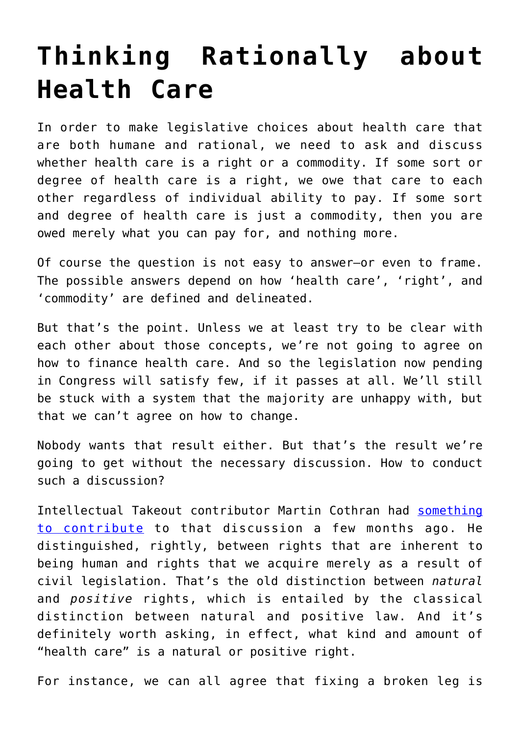## **[Thinking Rationally about](https://intellectualtakeout.org/2017/06/thinking-rationally-about-health-care/) [Health Care](https://intellectualtakeout.org/2017/06/thinking-rationally-about-health-care/)**

In order to make legislative choices about health care that are both humane and rational, we need to ask and discuss whether health care is a right or a commodity. If some sort or degree of health care is a right, we owe that care to each other regardless of individual ability to pay. If some sort and degree of health care is just a commodity, then you are owed merely what you can pay for, and nothing more.

Of course the question is not easy to answer–or even to frame. The possible answers depend on how 'health care', 'right', and 'commodity' are defined and delineated.

But that's the point. Unless we at least try to be clear with each other about those concepts, we're not going to agree on how to finance health care. And so the legislation now pending in Congress will satisfy few, if it passes at all. We'll still be stuck with a system that the majority are unhappy with, but that we can't agree on how to change.

Nobody wants that result either. But that's the result we're going to get without the necessary discussion. How to conduct such a discussion?

Intellectual Takeout contributor Martin Cothran had [something](https://www.intellectualtakeout.org/blog/it-logical-say-health-care-right) [to contribute](https://www.intellectualtakeout.org/blog/it-logical-say-health-care-right) to that discussion a few months ago. He distinguished, rightly, between rights that are inherent to being human and rights that we acquire merely as a result of civil legislation. That's the old distinction between *natural* and *positive* rights, which is entailed by the classical distinction between natural and positive law. And it's definitely worth asking, in effect, what kind and amount of "health care" is a natural or positive right.

For instance, we can all agree that fixing a broken leg is